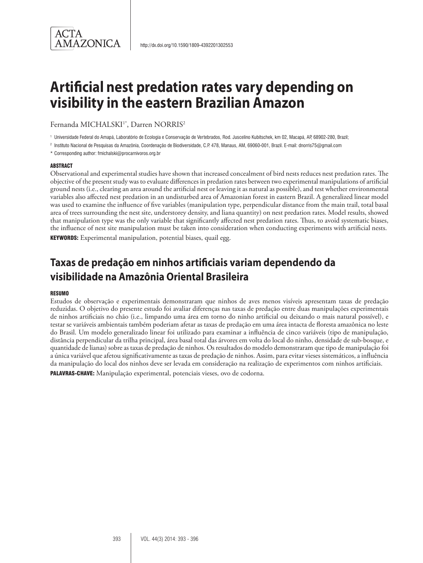

# **Artificial nest predation rates vary depending on visibility in the eastern Brazilian Amazon**

Fernanda MICHALSKI<sup>1\*</sup>, Darren NORRIS<sup>2</sup>

<sup>1</sup> Universidade Federal do Amapá, Laboratório de Ecologia e Conservação de Vertebrados, Rod. Juscelino Kubitschek, km 02, Macapá, AP, 68902-280, Brazil;

<sup>2</sup> Instituto Nacional de Pesquisas da Amazônia, Coordenação de Biodiversidade, C.P. 478, Manaus, AM, 69060-001, Brazil. E-mail: dnorris75@gmail.com

\* Corresponding author: fmichalski@procarnivoros.org.br

#### **ABSTRACT**

Observational and experimental studies have shown that increased concealment of bird nests reduces nest predation rates. The objective of the present study was to evaluate differences in predation rates between two experimental manipulations of artificial ground nests (i.e., clearing an area around the artificial nest or leaving it as natural as possible), and test whether environmental variables also affected nest predation in an undisturbed area of Amazonian forest in eastern Brazil. A generalized linear model was used to examine the influence of five variables (manipulation type, perpendicular distance from the main trail, total basal area of trees surrounding the nest site, understorey density, and liana quantity) on nest predation rates. Model results, showed that manipulation type was the only variable that significantly affected nest predation rates. Thus, to avoid systematic biases, the influence of nest site manipulation must be taken into consideration when conducting experiments with artificial nests.

KEYWORDS: Experimental manipulation, potential biases, quail egg.

## **Taxas de predação em ninhos artificiais variam dependendo da visibilidade na Amazônia Oriental Brasileira**

#### **RESUMO**

Estudos de observação e experimentais demonstraram que ninhos de aves menos visíveis apresentam taxas de predação reduzidas. O objetivo do presente estudo foi avaliar diferenças nas taxas de predação entre duas manipulações experimentais de ninhos artificiais no chão (i.e., limpando uma área em torno do ninho artificial ou deixando o mais natural possível), e testar se variáveis ambientais também poderiam afetar as taxas de predação em uma área intacta de floresta amazônica no leste do Brasil. Um modelo generalizado linear foi utilizado para examinar a influência de cinco variáveis (tipo de manipulação, distância perpendicular da trilha principal, área basal total das árvores em volta do local do ninho, densidade de sub-bosque, e quantidade de lianas) sobre as taxas de predação de ninhos. Os resultados do modelo demonstraram que tipo de manipulação foi a única variável que afetou significativamente as taxas de predação de ninhos. Assim, para evitar vieses sistemáticos, a influência da manipulação do local dos ninhos deve ser levada em consideração na realização de experimentos com ninhos artificiais.

PALAVRAS-CHAVE: Manipulação experimental, potenciais vieses, ovo de codorna.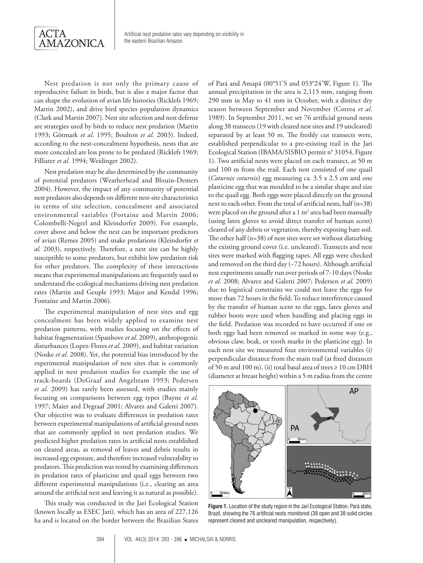

Nest predation is not only the primary cause of reproductive failure in birds, but is also a major factor that can shape the evolution of avian life histories (Ricklefs 1969; Martin 2002), and drive bird species population dynamics (Clark and Martin 2007). Nest site selection and nest defense are strategies used by birds to reduce nest predation (Martin 1993; Götmark *et al.* 1995; Boulton *et al.* 2003). Indeed, according to the nest-concealment hypothesis, nests that are more concealed are less prone to be predated (Ricklefs 1969; Filliater *et al.* 1994; Weidinger 2002).

Nest predation may be also determined by the community of potential predators (Weatherhead and Blouin-Demers 2004). However, the impact of any community of potential nest predators also depends on different nest-site characteristics in terms of site selection, concealment and associated environmental variables (Fortaine and Martin 2006; Colombelli-Negrel and Kleindorfer 2009). For example, cover above and below the nest can be important predictors of avian (Remes 2005) and snake predations (Kleindorfer *et al.* 2003), respectively. Therefore, a nest site can be highly susceptible to some predators, but exhibit low predation risk for other predators. The complexity of these interactions means that experimental manipulations are frequently used to understand the ecological mechanisms driving nest predation rates (Martin and Geuple 1993; Major and Kendal 1996; Fontaine and Martin 2006).

The experimental manipulation of nest sites and egg concealment has been widely applied to examine nest predation patterns, with studies focusing on the effects of habitat fragmentation (Spanhove *et al.* 2009), anthropogenic disturbances (Lopez-Flores *et al.* 2009), and habitat variation (Noske *et al.* 2008). Yet, the potential bias introduced by the experimental manipulation of nest sites that is commonly applied in nest predation studies for example the use of track-boards (DeGraaf and Angelstam 1993; Pedersen *et al.* 2009) has rarely been assessed, with studies mainly focusing on comparisons between egg types (Bayne *et al.* 1997; Maier and Degraaf 2001; Alvarez and Galetti 2007). Our objective was to evaluate differences in predation rates between experimental manipulations of artificial ground nests that are commonly applied in nest predation studies. We predicted higher predation rates in artificial nests established on cleared areas, as removal of leaves and debris results in increased egg exposure, and therefore increased vulnerability to predators. This prediction was tested by examining differences in predation rates of plasticine and quail eggs between two different experimental manipulations (i.e., clearing an area around the artificial nest and leaving it as natural as possible).

This study was conducted in the Jari Ecological Station (known locally as ESEC Jari), which has an area of 227,126 ha and is located on the border between the Brazilian States of Pará and Amapá (00°51'S and 053°24'W, Figure 1). The annual precipitation in the area is 2,115 mm, ranging from 290 mm in May to 41 mm in October, with a distinct dry season between September and November (Correa *et al.* 1989). In September 2011, we set 76 artificial ground nests along 38 transects (19 with cleared nest sites and 19 uncleared) separated by at least 50 m. The freshly cut transects were, established perpendicular to a pre-existing trail in the Jari Ecological Station (IBAMA/SISBIO permit n° 31054, Figure 1). Two artificial nests were placed on each transect, at 50 m and 100 m from the trail. Each nest consisted of one quail (*Coturnix coturnix*) egg measuring ca. 3.5 x 2.5 cm and one plasticine egg that was moulded to be a similar shape and size to the quail egg. Both eggs were placed directly on the ground next to each other. From the total of artificial nests, half (n=38) were placed on the ground after a  $1 \text{ m}^2$  area had been manually (using latex gloves to avoid direct transfer of human scent) cleared of any debris or vegetation, thereby exposing bare soil. The other half (n=38) of nest sites were set without disturbing the existing ground cover (i.e. uncleared). Transects and nest sites were marked with flagging tapes. All eggs were checked and removed on the third day (~72 hours). Although artificial nest experiments usually run over periods of 7-10 days (Noske *et al.* 2008; Alvarez and Galetti 2007; Pedersen *et al.* 2009) due to logistical constrains we could not leave the eggs for more than 72 hours in the field. To reduce interference caused by the transfer of human scent to the eggs, latex gloves and rubber boots were used when handling and placing eggs in the field. Predation was recorded to have occurred if one or both eggs had been removed or marked in some way (e.g., obvious claw, beak, or tooth marks in the plasticine egg). In each nest site we measured four environmental variables (i) perpendicular distance from the main trail (at fixed distances of 50 m and 100 m), (ii) total basal area of trees ≥ 10 cm DBH (diameter at breast height) within a 5 m radius from the centre



**Figure 1.** Location of the study region in the Jari Ecological Station, Pará state, Brazil, showing the 76 artificial nests monitored (38 open and 38 solid circles represent cleared and uncleared manipulation, respectively).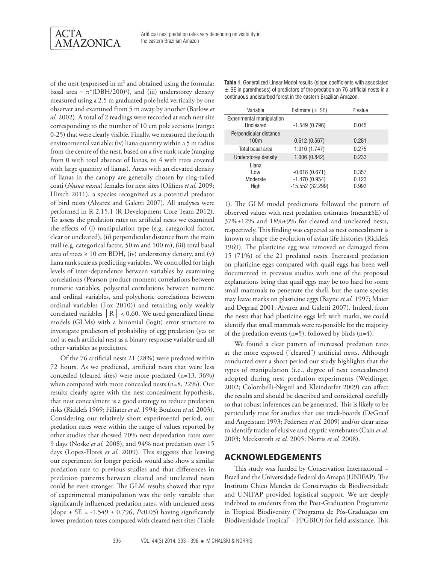

of the nest (expressed in  $m^2$  and obtained using the formula: basal area =  $\pi^*$ (DBH/200)<sup>2</sup>), and (iii) understorey density measured using a 2.5 m graduated pole held vertically by one observer and examined from 5 m away by another (Barlow *et al.* 2002). A total of 2 readings were recorded at each nest site corresponding to the number of 10 cm pole sections (range: 0-25) that were clearly visible. Finally, we measured the fourth environmental variable: (iv) liana quantity within a 5 m radius from the centre of the nest, based on a five rank scale (ranging from 0 with total absence of lianas, to 4 with trees covered with large quantity of lianas). Areas with an elevated density of lianas in the canopy are generally chosen by ring-tailed coati (*Nasua nasua*) females for nest sites (Olifiers *et al.* 2009; Hirsch 2011), a species recognized as a potential predator of bird nests (Alvarez and Galetti 2007). All analyses were performed in R 2.15.1 (R Development Core Team 2012). To assess the predation rates on artificial nests we examined the effects of (i) manipulation type (e.g. categorical factor, clear or uncleared), (ii) perpendicular distance from the main trail (e.g. categorical factor, 50 m and 100 m), (iii) total basal area of trees  $\geq 10$  cm BDH, (iv) understorey density, and (v) liana rank scale as predicting variables. We controlled for high levels of inter-dependence between variables by examining correlations (Pearson product-moment correlations between numeric variables, polyserial correlations between numeric and ordinal variables, and polychoric correlations between ordinal variables (Fox 2010)) and retaining only weakly correlated variables │R│ < 0.60. We used generalized linear models (GLMs) with a binomial (logit) error structure to investigate predictors of probability of egg predation (yes or no) at each artificial nest as a binary response variable and all other variables as predictors.

Of the 76 artificial nests 21 (28%) were predated within 72 hours. As we predicted, artificial nests that were less concealed (cleared sites) were more predated (n=13, 36%) when compared with more concealed nests (n=8, 22%). Our results clearly agree with the nest-concealment hypothesis, that nest concealment is a good strategy to reduce predation risks (Ricklefs 1969; Filliater *et al.* 1994; Boulton *et al.* 2003). Considering our relatively short experimental period, our predation rates were within the range of values reported by other studies that showed 70% nest depredation rates over 9 days (Noske *et al.* 2008), and 94% nest predation over 15 days (Lopez-Flores *et al.* 2009). This suggests that leaving our experiment for longer periods would also show a similar predation rate to previous studies and that differences in predation patterns between cleared and uncleared nests could be even stronger. The GLM results showed that type of experimental manipulation was the only variable that significantly influenced predation rates, with uncleared nests  $(slope \pm SE = -1.549 \pm 0.796, P<0.05)$  having significantly lower predation rates compared with cleared nest sites (Table

**Table 1.** Generalized Linear Model results (slope coefficients with associated  $\pm$  SE in parentheses) of predictors of the predation on 76 artificial nests in a continuous undisturbed forest in the eastern Brazilian Amazon.

| Variable                                      | Estimate $(\pm$ SE)                  | P value        |
|-----------------------------------------------|--------------------------------------|----------------|
| <b>Experimental manipulation</b><br>Uncleared | $-1.549(0.796)$                      | 0.045          |
| Perpendicular distance<br>100 <sub>m</sub>    | 0.612(0.567)                         | 0.281          |
| Total basal area                              | 1.910 (1.747)                        | 0.275          |
| Understorey density                           | 1.006 (0.842)                        | 0.233          |
| Liana<br>Low                                  | $-0.618(0.671)$                      | 0.357          |
| Moderate<br>High                              | $-1.470(0.954)$<br>$-15.552(32.299)$ | 0.123<br>0.993 |

1). The GLM model predictions followed the pattern of observed values with nest predation estimates (mean±SE) of 37%±12% and 18%±9% for cleared and uncleared nests, respectively. This finding was expected as nest concealment is known to shape the evolution of avian life histories (Ricklefs 1969). The plasticine egg was removed or damaged from 15 (71%) of the 21 predated nests. Increased predation on plasticine eggs compared with quail eggs has been well documented in previous studies with one of the proposed explanations being that quail eggs may be too hard for some small mammals to penetrate the shell, but the same species may leave marks on plasticine eggs (Bayne *et al.* 1997; Maier and Degraaf 2001; Alvarez and Galetti 2007). Indeed, from the nests that had plasticine eggs left with marks, we could identify that small mammals were responsible for the majority of the predation events  $(n=5)$ , followed by birds  $(n=4)$ .

We found a clear pattern of increased predation rates at the more exposed ("cleared") artificial nests. Although conducted over a short period our study highlights that the types of manipulation (i.e., degree of nest concealment) adopted during nest predation experiments (Weidinger 2002; Colombelli-Negrel and Kleindorfer 2009) can affect the results and should be described and considered carefully so that robust inferences can be generated. This is likely to be particularly true for studies that use track-boards (DeGraaf and Angelstam 1993; Pedersen *et al.* 2009) and/or clear areas to identify tracks of elusive and cryptic vertebrates (Cain *et al.* 2003; Meckstroth *et al.* 2005; Norris *et al.* 2008).

#### **ACKNOWLEDGEMENTS**

This study was funded by Conservation International – Brazil and the Universidade Federal do Amapá (UNIFAP). The Instituto Chico Mendes de Conservação da Biodiversidade and UNIFAP provided logistical support. We are deeply indebted to students from the Post-Graduation Programme in Tropical Biodiversity ("Programa de Pós-Graduação em Biodiversidade Tropical" - PPGBIO) for field assistance. This